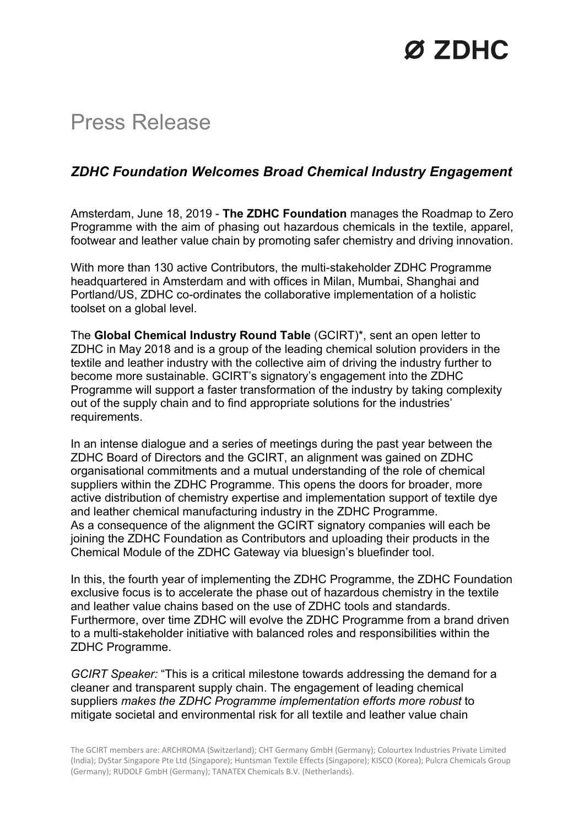## Ø ZDHC

### Press Release

### *ZDHC Foundation Welcomes Broad Chemical Industry Engagement*

Amsterdam, June 18, 2019 - **The ZDHC Foundation** manages the Roadmap to Zero Programme with the aim of phasing out hazardous chemicals in the textile, apparel, footwear and leather value chain by promoting safer chemistry and driving innovation.

With more than 130 active Contributors, the multi-stakeholder ZDHC Programme headquartered in Amsterdam and with offices in Milan, Mumbai, Shanghai and Portland/US, ZDHC co-ordinates the collaborative implementation of a holistic toolset on a global level.

The **Global Chemical Industry Round Table** (GCIRT)\*, sent an open letter to ZDHC in May 2018 and is a group of the leading chemical solution providers in the textile and leather industry with the collective aim of driving the industry further to become more sustainable. GCIRT's signatory's engagement into the ZDHC Programme will support a faster transformation of the industry by taking complexity out of the supply chain and to find appropriate solutions for the industries' requirements.

In an intense dialogue and a series of meetings during the past year between the ZDHC Board of Directors and the GCIRT, an alignment was gained on ZDHC organisational commitments and a mutual understanding of the role of chemical suppliers within the ZDHC Programme. This opens the doors for broader, more active distribution of chemistry expertise and implementation support of textile dye and leather chemical manufacturing industry in the ZDHC Programme. As a consequence of the alignment the GCIRT signatory companies will each be joining the ZDHC Foundation as Contributors and uploading their products in the Chemical Module of the ZDHC Gateway via bluesign's bluefinder tool.

In this, the fourth year of implementing the ZDHC Programme, the ZDHC Foundation exclusive focus is to accelerate the phase out of hazardous chemistry in the textile and leather value chains based on the use of ZDHC tools and standards. Furthermore, over time ZDHC will evolve the ZDHC Programme from a brand driven to a multi-stakeholder initiative with balanced roles and responsibilities within the ZDHC Programme.

*GCIRT Speaker:* "This is a critical milestone towards addressing the demand for a cleaner and transparent supply chain. The engagement of leading chemical suppliers *makes the ZDHC Programme implementation efforts more robust* to mitigate societal and environmental risk for all textile and leather value chain

The GCIRT members are: ARCHROMA (Switzerland); CHT Germany GmbH (Germany); Colourtex Industries Private Limited (India); DyStar Singapore Pte Ltd (Singapore); Huntsman Textile Effects (Singapore); KISCO (Korea); Pulcra Chemicals Group (Germany); RUDOLF GmbH (Germany); TANATEX Chemicals B.V. (Netherlands).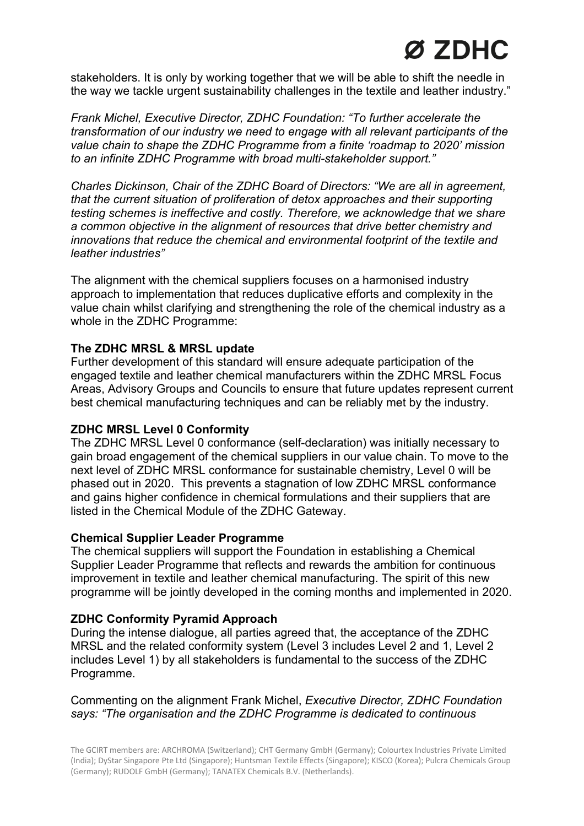# Ø ZDHC

stakeholders. It is only by working together that we will be able to shift the needle in the way we tackle urgent sustainability challenges in the textile and leather industry."

*Frank Michel, Executive Director, ZDHC Foundation: "To further accelerate the transformation of our industry we need to engage with all relevant participants of the value chain to shape the ZDHC Programme from a finite 'roadmap to 2020' mission to an infinite ZDHC Programme with broad multi-stakeholder support."*

*Charles Dickinson, Chair of the ZDHC Board of Directors: "We are all in agreement, that the current situation of proliferation of detox approaches and their supporting testing schemes is ineffective and costly. Therefore, we acknowledge that we share a common objective in the alignment of resources that drive better chemistry and innovations that reduce the chemical and environmental footprint of the textile and leather industries"*

The alignment with the chemical suppliers focuses on a harmonised industry approach to implementation that reduces duplicative efforts and complexity in the value chain whilst clarifying and strengthening the role of the chemical industry as a whole in the ZDHC Programme:

#### **The ZDHC MRSL & MRSL update**

Further development of this standard will ensure adequate participation of the engaged textile and leather chemical manufacturers within the ZDHC MRSL Focus Areas, Advisory Groups and Councils to ensure that future updates represent current best chemical manufacturing techniques and can be reliably met by the industry.

#### **ZDHC MRSL Level 0 Conformity**

The ZDHC MRSL Level 0 conformance (self-declaration) was initially necessary to gain broad engagement of the chemical suppliers in our value chain. To move to the next level of ZDHC MRSL conformance for sustainable chemistry, Level 0 will be phased out in 2020. This prevents a stagnation of low ZDHC MRSL conformance and gains higher confidence in chemical formulations and their suppliers that are listed in the Chemical Module of the ZDHC Gateway.

#### **Chemical Supplier Leader Programme**

The chemical suppliers will support the Foundation in establishing a Chemical Supplier Leader Programme that reflects and rewards the ambition for continuous improvement in textile and leather chemical manufacturing. The spirit of this new programme will be jointly developed in the coming months and implemented in 2020.

#### **ZDHC Conformity Pyramid Approach**

During the intense dialogue, all parties agreed that, the acceptance of the ZDHC MRSL and the related conformity system (Level 3 includes Level 2 and 1, Level 2 includes Level 1) by all stakeholders is fundamental to the success of the ZDHC Programme.

Commenting on the alignment Frank Michel, *Executive Director, ZDHC Foundation says: "The organisation and the ZDHC Programme is dedicated to continuous* 

The GCIRT members are: ARCHROMA (Switzerland); CHT Germany GmbH (Germany); Colourtex Industries Private Limited (India); DyStar Singapore Pte Ltd (Singapore); Huntsman Textile Effects (Singapore); KISCO (Korea); Pulcra Chemicals Group (Germany); RUDOLF GmbH (Germany); TANATEX Chemicals B.V. (Netherlands).